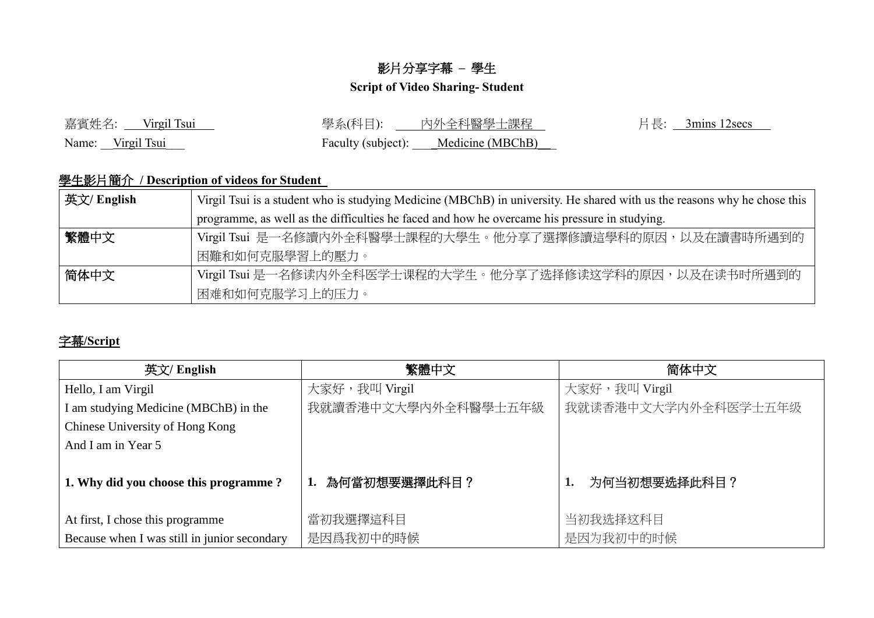## 影片分享字幕 **–** 學生

## **Script of Video Sharing- Student**

| 嘉賓姓名: ___ Virgil Tsui | 學系(科目): 1.1.1<br>內外全科醫學士課程          | 片長: $3 \text{mins } 12 \text{secs}$ |
|-----------------------|-------------------------------------|-------------------------------------|
| Name: Virgil Tsui     | Faculty (subject): Medicine (MBChB) |                                     |

## 學生影片簡介 **/ Description of videos for Student**

| 英文/ English | Virgil Tsui is a student who is studying Medicine (MBChB) in university. He shared with us the reasons why he chose this |  |
|-------------|--------------------------------------------------------------------------------------------------------------------------|--|
|             | programme, as well as the difficulties he faced and how he overcame his pressure in studying.                            |  |
| 繁體中文        | Virgil Tsui 是一名修讀內外全科醫學士課程的大學生。他分享了選擇修讀這學科的原因,以及在讀書時所遇到的                                                                 |  |
|             | 困難和如何克服學習上的壓力。                                                                                                           |  |
| 简体中文        | Virgil Tsui 是一名修读内外全科医学士课程的大学生。他分享了选择修读这学科的原因,以及在读书时所遇到的                                                                 |  |
|             | 困难和如何克服学习上的压力。                                                                                                           |  |

## 字幕**/Script**

| 英文/ English                                  | 繁體中文                | 简体中文                |
|----------------------------------------------|---------------------|---------------------|
| Hello, I am Virgil                           | 大家好,我叫 Virgil       | 大家好,我叫 Virgil       |
| I am studying Medicine (MBChB) in the        | 我就讀香港中文大學內外全科醫學士五年級 | 我就读香港中文大学内外全科医学士五年级 |
| Chinese University of Hong Kong              |                     |                     |
| And I am in Year 5                           |                     |                     |
| 1. Why did you choose this programme?        | 1. 為何當初想要選擇此科目?     | 为何当初想要选择此科目?        |
| At first, I chose this programme             | 當初我選擇這科目            | 当初我选择这科目            |
| Because when I was still in junior secondary | 是因爲我初中的時候           | 是因为我初中的时候           |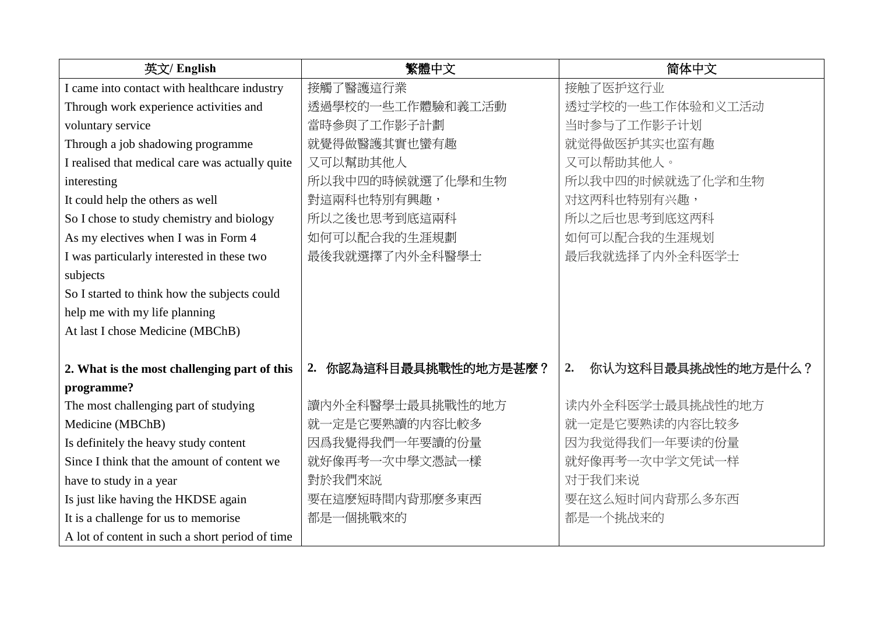| 英文/ English                                     | 繁體中文                     | 简体中文                     |
|-------------------------------------------------|--------------------------|--------------------------|
| I came into contact with healthcare industry    | 接觸了醫護這行業                 | 接触了医护这行业                 |
| Through work experience activities and          | 透過學校的一些工作體驗和義工活動         | 透过学校的一些工作体验和义工活动         |
| voluntary service                               | 當時參與了工作影子計劃              | 当时参与了工作影子计划              |
| Through a job shadowing programme               | 就覺得做醫護其實也蠻有趣             | 就觉得做医护其实也蛮有趣             |
| I realised that medical care was actually quite | 又可以幫助其他人                 | 又可以帮助其他人。                |
| interesting                                     | 所以我中四的時候就選了化學和生物         | 所以我中四的时候就选了化学和生物         |
| It could help the others as well                | 對這兩科也特別有興趣,              | 对这两科也特别有兴趣,              |
| So I chose to study chemistry and biology       | 所以之後也思考到底這兩科             | 所以之后也思考到底这两科             |
| As my electives when I was in Form 4            | 如何可以配合我的生涯規劃             | 如何可以配合我的生涯规划             |
| I was particularly interested in these two      | 最後我就選擇了內外全科醫學士           | 最后我就选择了内外全科医学士           |
| subjects                                        |                          |                          |
| So I started to think how the subjects could    |                          |                          |
| help me with my life planning                   |                          |                          |
| At last I chose Medicine (MBChB)                |                          |                          |
|                                                 |                          |                          |
| 2. What is the most challenging part of this    | 你認為這科目最具挑戰性的地方是甚麼?<br>2. | 你认为这科目最具挑战性的地方是什么?<br>2. |
| programme?                                      |                          |                          |
| The most challenging part of studying           | 讀內外全科醫學士最具挑戰性的地方         | 读内外全科医学士最具挑战性的地方         |
| Medicine (MBChB)                                | 就一定是它要熟讀的内容比較多           | 就一定是它要熟读的内容比较多           |
| Is definitely the heavy study content           | 因爲我覺得我們一年要讀的份量           | 因为我觉得我们一年要读的份量           |
| Since I think that the amount of content we     | 就好像再考一次中學文憑試一樣           | 就好像再考一次中学文凭试一样           |
| have to study in a year                         | 對於我們來説                   | 对于我们来说                   |
| Is just like having the HKDSE again             | 要在這麼短時間内背那麼多東西           | 要在这么短时间内背那么多东西           |
| It is a challenge for us to memorise            | 都是一個挑戰來的                 | 都是一个挑战来的                 |
| A lot of content in such a short period of time |                          |                          |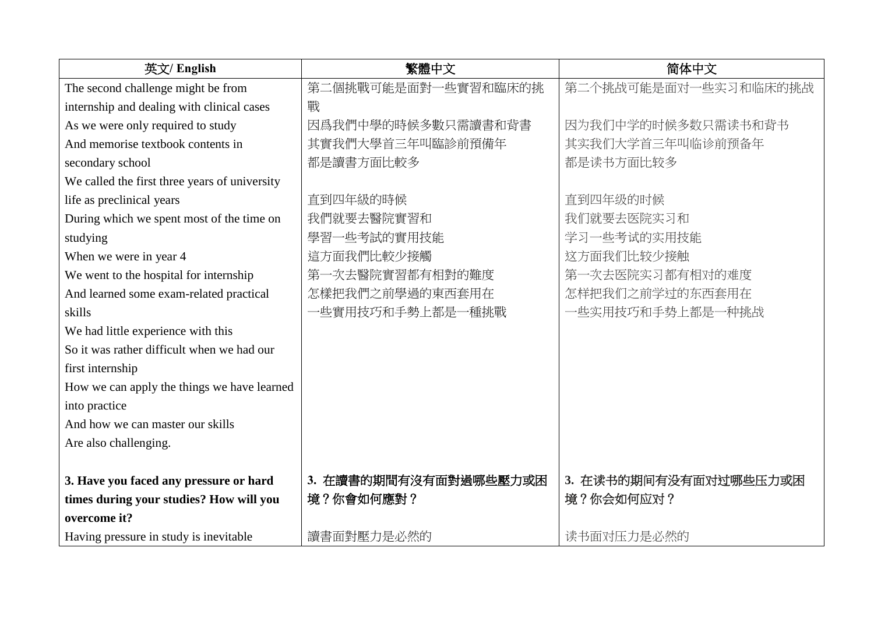| 英文/ English                                   | 繁體中文                  | 简体中文                  |
|-----------------------------------------------|-----------------------|-----------------------|
| The second challenge might be from            | 第二個挑戰可能是面對一些實習和臨床的挑   | 第二个挑战可能是面对一些实习和临床的挑战  |
| internship and dealing with clinical cases    | 戰                     |                       |
| As we were only required to study             | 因爲我們中學的時候多數只需讀書和背書    | 因为我们中学的时候多数只需读书和背书    |
| And memorise textbook contents in             | 其實我們大學首三年叫臨診前預備年      | 其实我们大学首三年叫临诊前预备年      |
| secondary school                              | 都是讀書方面比較多             | 都是读书方面比较多             |
| We called the first three years of university |                       |                       |
| life as preclinical years                     | 直到四年級的時候              | 直到四年级的时候              |
| During which we spent most of the time on     | 我們就要去醫院實習和            | 我们就要去医院实习和            |
| studying                                      | 學習一些考試的實用技能           | 学习一些考试的实用技能           |
| When we were in year 4                        | 這方面我們比較少接觸            | 这方面我们比较少接触            |
| We went to the hospital for internship        | 第一次去醫院實習都有相對的難度       | 第一次去医院实习都有相对的难度       |
| And learned some exam-related practical       | 怎樣把我們之前學過的東西套用在       | 怎样把我们之前学过的东西套用在       |
| skills                                        | 一些實用技巧和手勢上都是一種挑戰      | 一些实用技巧和手势上都是一种挑战      |
| We had little experience with this            |                       |                       |
| So it was rather difficult when we had our    |                       |                       |
| first internship                              |                       |                       |
| How we can apply the things we have learned   |                       |                       |
| into practice                                 |                       |                       |
| And how we can master our skills              |                       |                       |
| Are also challenging.                         |                       |                       |
|                                               |                       |                       |
| 3. Have you faced any pressure or hard        | 3. 在讀書的期間有沒有面對過哪些壓力或困 | 3. 在读书的期间有没有面对过哪些压力或困 |
| times during your studies? How will you       | 境?你會如何應對?             | 境?你会如何应对?             |
| overcome it?                                  |                       |                       |
| Having pressure in study is inevitable        | 讀書面對壓力是必然的            | 读书面对压力是必然的            |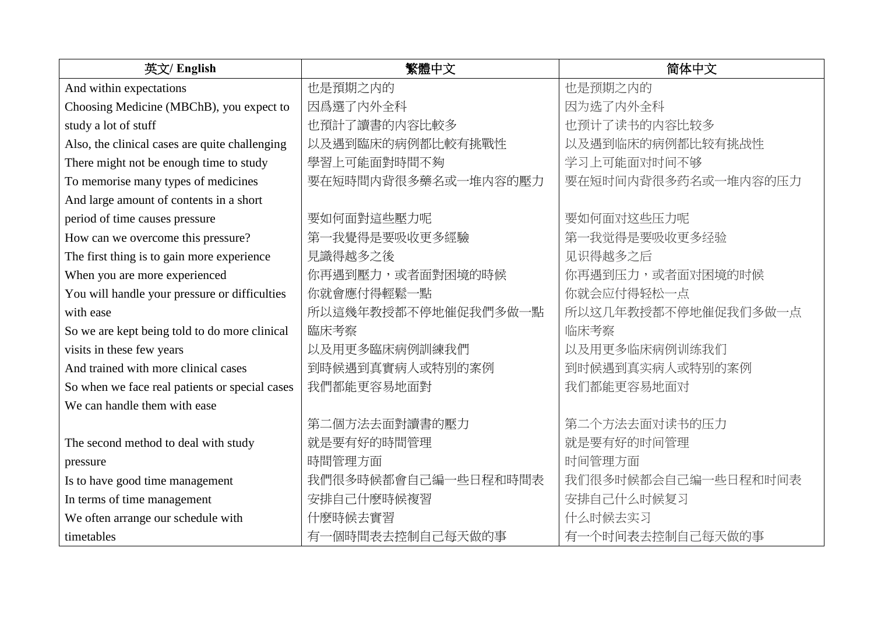| 英文/ English                                    | 繁體中文                | 简体中文                |
|------------------------------------------------|---------------------|---------------------|
| And within expectations                        | 也是預期之内的             | 也是预期之内的             |
| Choosing Medicine (MBChB), you expect to       | 因爲選了內外全科            | 因为选了内外全科            |
| study a lot of stuff                           | 也預計了讀書的内容比較多        | 也预计了读书的内容比较多        |
| Also, the clinical cases are quite challenging | 以及遇到臨床的病例都比較有挑戰性    | 以及遇到临床的病例都比较有挑战性    |
| There might not be enough time to study        | 學習上可能面對時間不夠         | 学习上可能面对时间不够         |
| To memorise many types of medicines            | 要在短時間内背很多藥名或一堆内容的壓力 | 要在短时间内背很多药名或一堆内容的压力 |
| And large amount of contents in a short        |                     |                     |
| period of time causes pressure                 | 要如何面對這些壓力呢          | 要如何面对这些压力呢          |
| How can we overcome this pressure?             | 第一我覺得是要吸收更多經驗       | 第一我觉得是要吸收更多经验       |
| The first thing is to gain more experience     | 見識得越多之後             | 见识得越多之后             |
| When you are more experienced                  | 你再遇到壓力,或者面對困境的時候    | 你再遇到压力,或者面对困境的时候    |
| You will handle your pressure or difficulties  | 你就會應付得輕鬆一點          | 你就会应付得轻松一点          |
| with ease                                      | 所以這幾年教授都不停地催促我們多做一點 | 所以这几年教授都不停地催促我们多做一点 |
| So we are kept being told to do more clinical  | 臨床考察                | 临床考察                |
| visits in these few years                      | 以及用更多臨床病例訓練我們       | 以及用更多临床病例训练我们       |
| And trained with more clinical cases           | 到時候遇到真實病人或特別的案例     | 到时候遇到真实病人或特别的案例     |
| So when we face real patients or special cases | 我們都能更容易地面對          | 我们都能更容易地面对          |
| We can handle them with ease                   |                     |                     |
|                                                | 第二個方法去面對讀書的壓力       | 第二个方法去面对读书的压力       |
| The second method to deal with study           | 就是要有好的時間管理          | 就是要有好的时间管理          |
| pressure                                       | 時間管理方面              | 时间管理方面              |
| Is to have good time management                | 我們很多時候都會自己編一些日程和時間表 | 我们很多时候都会自己编一些日程和时间表 |
| In terms of time management                    | 安排自己什麼時候複習          | 安排自己什么时候复习          |
| We often arrange our schedule with             | 什麼時候去實習             | 什么时候去实习             |
| timetables                                     | 有一個時間表去控制自己每天做的事    | 有一个时间表去控制自己每天做的事    |